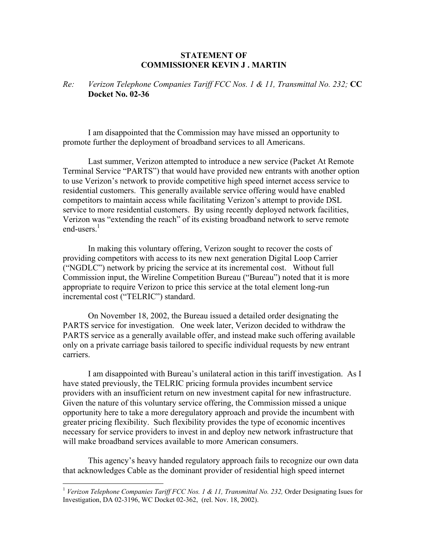## **STATEMENT OF COMMISSIONER KEVIN J . MARTIN**

## *Re: Verizon Telephone Companies Tariff FCC Nos. 1 & 11, Transmittal No. 232;* **CC Docket No. 02-36**

 I am disappointed that the Commission may have missed an opportunity to promote further the deployment of broadband services to all Americans.

 Last summer, Verizon attempted to introduce a new service (Packet At Remote Terminal Service "PARTS") that would have provided new entrants with another option to use Verizon's network to provide competitive high speed internet access service to residential customers. This generally available service offering would have enabled competitors to maintain access while facilitating Verizon's attempt to provide DSL service to more residential customers. By using recently deployed network facilities, Verizon was "extending the reach" of its existing broadband network to serve remote end-users $<sup>1</sup>$ </sup>

 In making this voluntary offering, Verizon sought to recover the costs of providing competitors with access to its new next generation Digital Loop Carrier ("NGDLC") network by pricing the service at its incremental cost. Without full Commission input, the Wireline Competition Bureau ("Bureau") noted that it is more appropriate to require Verizon to price this service at the total element long-run incremental cost ("TELRIC") standard.

 On November 18, 2002, the Bureau issued a detailed order designating the PARTS service for investigation. One week later, Verizon decided to withdraw the PARTS service as a generally available offer, and instead make such offering available only on a private carriage basis tailored to specific individual requests by new entrant carriers.

 I am disappointed with Bureau's unilateral action in this tariff investigation. As I have stated previously, the TELRIC pricing formula provides incumbent service providers with an insufficient return on new investment capital for new infrastructure. Given the nature of this voluntary service offering, the Commission missed a unique opportunity here to take a more deregulatory approach and provide the incumbent with greater pricing flexibility. Such flexibility provides the type of economic incentives necessary for service providers to invest in and deploy new network infrastructure that will make broadband services available to more American consumers.

 This agency's heavy handed regulatory approach fails to recognize our own data that acknowledges Cable as the dominant provider of residential high speed internet

1

<sup>&</sup>lt;sup>1</sup> Verizon Telephone Companies Tariff FCC Nos. 1 & 11, Transmittal No. 232, Order Designating Isues for Investigation, DA 02-3196, WC Docket 02-362, (rel. Nov. 18, 2002).